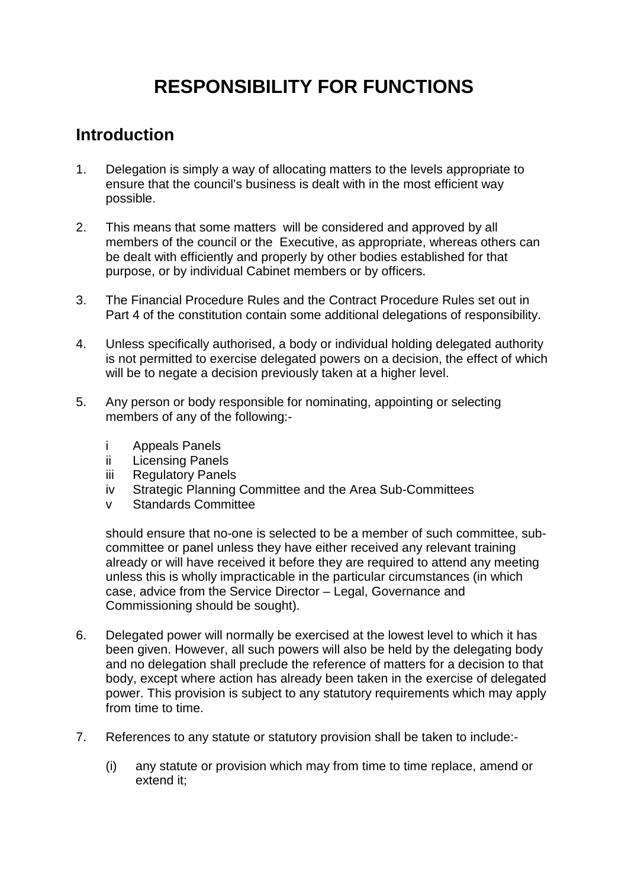## **RESPONSIBILITY FOR FUNCTIONS**

## **Introduction**

- 1. Delegation is simply a way of allocating matters to the levels appropriate to ensure that the council's business is dealt with in the most efficient way possible.
- 2. This means that some matters will be considered and approved by all members of the council or the Executive, as appropriate, whereas others can be dealt with efficiently and properly by other bodies established for that purpose, or by individual Cabinet members or by officers.
- 3. The Financial Procedure Rules and the Contract Procedure Rules set out in Part 4 of the constitution contain some additional delegations of responsibility.
- 4. Unless specifically authorised, a body or individual holding delegated authority is not permitted to exercise delegated powers on a decision, the effect of which will be to negate a decision previously taken at a higher level.
- 5. Any person or body responsible for nominating, appointing or selecting members of any of the following:
	- i Appeals Panels
	- ii Licensing Panels
	- iii Regulatory Panels
	- iv Strategic Planning Committee and the Area Sub-Committees
	- v Standards Committee

should ensure that no-one is selected to be a member of such committee, subcommittee or panel unless they have either received any relevant training already or will have received it before they are required to attend any meeting unless this is wholly impracticable in the particular circumstances (in which case, advice from the Service Director – Legal, Governance and Commissioning should be sought).

- 6. Delegated power will normally be exercised at the lowest level to which it has been given. However, all such powers will also be held by the delegating body and no delegation shall preclude the reference of matters for a decision to that body, except where action has already been taken in the exercise of delegated power. This provision is subject to any statutory requirements which may apply from time to time.
- 7. References to any statute or statutory provision shall be taken to include:-
	- (i) any statute or provision which may from time to time replace, amend or extend it;